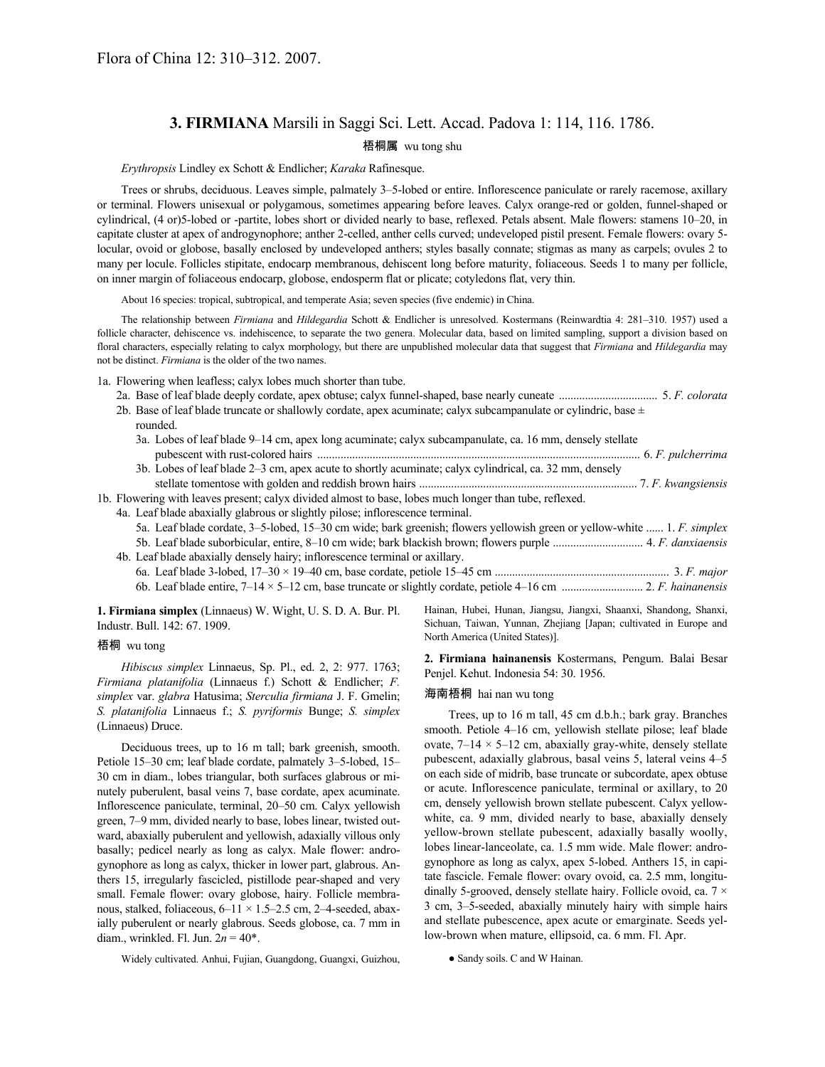# **3. FIRMIANA** Marsili in Saggi Sci. Lett. Accad. Padova 1: 114, 116. 1786.

## 梧桐属 wu tong shu

*Erythropsis* Lindley ex Schott & Endlicher; *Karaka* Rafinesque.

Trees or shrubs, deciduous. Leaves simple, palmately 3–5-lobed or entire. Inflorescence paniculate or rarely racemose, axillary or terminal. Flowers unisexual or polygamous, sometimes appearing before leaves. Calyx orange-red or golden, funnel-shaped or cylindrical, (4 or)5-lobed or -partite, lobes short or divided nearly to base, reflexed. Petals absent. Male flowers: stamens 10–20, in capitate cluster at apex of androgynophore; anther 2-celled, anther cells curved; undeveloped pistil present. Female flowers: ovary 5 locular, ovoid or globose, basally enclosed by undeveloped anthers; styles basally connate; stigmas as many as carpels; ovules 2 to many per locule. Follicles stipitate, endocarp membranous, dehiscent long before maturity, foliaceous. Seeds 1 to many per follicle, on inner margin of foliaceous endocarp, globose, endosperm flat or plicate; cotyledons flat, very thin.

About 16 species: tropical, subtropical, and temperate Asia; seven species (five endemic) in China.

The relationship between *Firmiana* and *Hildegardia* Schott & Endlicher is unresolved. Kostermans (Reinwardtia 4: 281–310. 1957) used a follicle character, dehiscence vs. indehiscence, to separate the two genera. Molecular data, based on limited sampling, support a division based on floral characters, especially relating to calyx morphology, but there are unpublished molecular data that suggest that *Firmiana* and *Hildegardia* may not be distinct. *Firmiana* is the older of the two names.

1a. Flowering when leafless; calyx lobes much shorter than tube.

- 2a. Base of leaf blade deeply cordate, apex obtuse; calyx funnel-shaped, base nearly cuneate .................................. 5. *F. colorata* 2b. Base of leaf blade truncate or shallowly cordate, apex acuminate; calyx subcampanulate or cylindric, base  $\pm$ 
	- rounded. 3a. Lobes of leaf blade 9–14 cm, apex long acuminate; calyx subcampanulate, ca. 16 mm, densely stellate pubescent with rust-colored hairs ............................................................................................................... 6. *F. pulcherrima*
	- 3b. Lobes of leaf blade 2–3 cm, apex acute to shortly acuminate; calyx cylindrical, ca. 32 mm, densely stellate tomentose with golden and reddish brown hairs ........................................................................... 7. *F. kwangsiensis*

1b. Flowering with leaves present; calyx divided almost to base, lobes much longer than tube, reflexed.

4a. Leaf blade abaxially glabrous or slightly pilose; inflorescence terminal.

- 5a. Leaf blade cordate, 3–5-lobed, 15–30 cm wide; bark greenish; flowers yellowish green or yellow-white ...... 1. *F. simplex* 5b. Leaf blade suborbicular, entire, 8–10 cm wide; bark blackish brown; flowers purple ............................... 4. *F. danxiaensis* 4b. Leaf blade abaxially densely hairy; inflorescence terminal or axillary.
	- 6a. Leaf blade 3-lobed, 17–30 × 19–40 cm, base cordate, petiole 15–45 cm ............................................................ 3. *F. major* 6b. Leaf blade entire, 7–14 × 5–12 cm, base truncate or slightly cordate, petiole 4–16 cm ............................ 2. *F. hainanensis*

**1. Firmiana simplex** (Linnaeus) W. Wight, U. S. D. A. Bur. Pl. Industr. Bull. 142: 67. 1909.

### 梧桐 wu tong

*Hibiscus simplex* Linnaeus, Sp. Pl., ed. 2, 2: 977. 1763; *Firmiana platanifolia* (Linnaeus f.) Schott & Endlicher; *F. simplex* var. *glabra* Hatusima; *Sterculia firmiana* J. F. Gmelin; *S. platanifolia* Linnaeus f.; *S. pyriformis* Bunge; *S. simplex* (Linnaeus) Druce.

Deciduous trees, up to 16 m tall; bark greenish, smooth. Petiole 15–30 cm; leaf blade cordate, palmately 3–5-lobed, 15– 30 cm in diam., lobes triangular, both surfaces glabrous or minutely puberulent, basal veins 7, base cordate, apex acuminate. Inflorescence paniculate, terminal, 20–50 cm. Calyx yellowish green, 7–9 mm, divided nearly to base, lobes linear, twisted outward, abaxially puberulent and yellowish, adaxially villous only basally; pedicel nearly as long as calyx. Male flower: androgynophore as long as calyx, thicker in lower part, glabrous. Anthers 15, irregularly fascicled, pistillode pear-shaped and very small. Female flower: ovary globose, hairy. Follicle membranous, stalked, foliaceous, 6–11 × 1.5–2.5 cm, 2–4-seeded, abaxially puberulent or nearly glabrous. Seeds globose, ca. 7 mm in diam., wrinkled. Fl. Jun. 2*n* = 40\*.

Widely cultivated. Anhui, Fujian, Guangdong, Guangxi, Guizhou,

Hainan, Hubei, Hunan, Jiangsu, Jiangxi, Shaanxi, Shandong, Shanxi, Sichuan, Taiwan, Yunnan, Zhejiang [Japan; cultivated in Europe and North America (United States)].

**2. Firmiana hainanensis** Kostermans, Pengum. Balai Besar Penjel. Kehut. Indonesia 54: 30. 1956.

#### 海南梧桐 hai nan wu tong

Trees, up to 16 m tall, 45 cm d.b.h.; bark gray. Branches smooth. Petiole 4–16 cm, yellowish stellate pilose; leaf blade ovate,  $7-14 \times 5-12$  cm, abaxially gray-white, densely stellate pubescent, adaxially glabrous, basal veins 5, lateral veins 4–5 on each side of midrib, base truncate or subcordate, apex obtuse or acute. Inflorescence paniculate, terminal or axillary, to 20 cm, densely yellowish brown stellate pubescent. Calyx yellowwhite, ca. 9 mm, divided nearly to base, abaxially densely yellow-brown stellate pubescent, adaxially basally woolly, lobes linear-lanceolate, ca. 1.5 mm wide. Male flower: androgynophore as long as calyx, apex 5-lobed. Anthers 15, in capitate fascicle. Female flower: ovary ovoid, ca. 2.5 mm, longitudinally 5-grooved, densely stellate hairy. Follicle ovoid, ca. 7  $\times$ 3 cm, 3–5-seeded, abaxially minutely hairy with simple hairs and stellate pubescence, apex acute or emarginate. Seeds yellow-brown when mature, ellipsoid, ca. 6 mm. Fl. Apr.

● Sandy soils. C and W Hainan.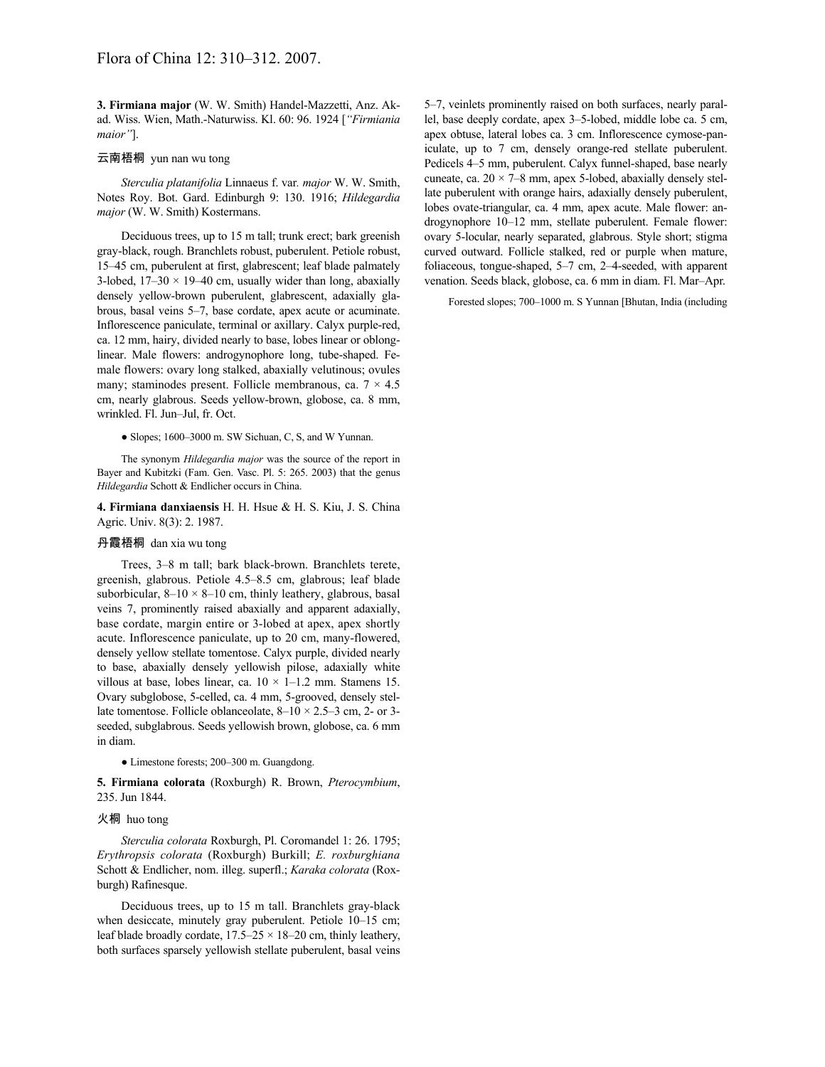**3. Firmiana major** (W. W. Smith) Handel-Mazzetti, Anz. Akad. Wiss. Wien, Math.-Naturwiss. Kl. 60: 96. 1924 [*"Firmiania maior"*].

#### 云南梧桐 yun nan wu tong

*Sterculia platanifolia* Linnaeus f. var*. major* W. W. Smith, Notes Roy. Bot. Gard. Edinburgh 9: 130. 1916; *Hildegardia major* (W. W. Smith) Kostermans.

Deciduous trees, up to 15 m tall; trunk erect; bark greenish gray-black, rough. Branchlets robust, puberulent. Petiole robust, 15–45 cm, puberulent at first, glabrescent; leaf blade palmately 3-lobed,  $17-30 \times 19-40$  cm, usually wider than long, abaxially densely yellow-brown puberulent, glabrescent, adaxially glabrous, basal veins 5–7, base cordate, apex acute or acuminate. Inflorescence paniculate, terminal or axillary. Calyx purple-red, ca. 12 mm, hairy, divided nearly to base, lobes linear or oblonglinear. Male flowers: androgynophore long, tube-shaped. Female flowers: ovary long stalked, abaxially velutinous; ovules many; staminodes present. Follicle membranous, ca.  $7 \times 4.5$ cm, nearly glabrous. Seeds yellow-brown, globose, ca. 8 mm, wrinkled. Fl. Jun–Jul, fr. Oct.

● Slopes; 1600–3000 m. SW Sichuan, C, S, and W Yunnan.

The synonym *Hildegardia major* was the source of the report in Bayer and Kubitzki (Fam. Gen. Vasc. Pl. 5: 265. 2003) that the genus *Hildegardia* Schott & Endlicher occurs in China.

**4. Firmiana danxiaensis** H. H. Hsue & H. S. Kiu, J. S. China Agric. Univ. 8(3): 2. 1987.

#### 丹霞梧桐 dan xia wu tong

Trees, 3–8 m tall; bark black-brown. Branchlets terete, greenish, glabrous. Petiole 4.5–8.5 cm, glabrous; leaf blade suborbicular,  $8-10 \times 8-10$  cm, thinly leathery, glabrous, basal veins 7, prominently raised abaxially and apparent adaxially, base cordate, margin entire or 3-lobed at apex, apex shortly acute. Inflorescence paniculate, up to 20 cm, many-flowered, densely yellow stellate tomentose. Calyx purple, divided nearly to base, abaxially densely yellowish pilose, adaxially white villous at base, lobes linear, ca.  $10 \times 1 - 1.2$  mm. Stamens 15. Ovary subglobose, 5-celled, ca. 4 mm, 5-grooved, densely stellate tomentose. Follicle oblanceolate, 8–10  $\times$  2.5–3 cm, 2- or 3seeded, subglabrous. Seeds yellowish brown, globose, ca. 6 mm in diam.

● Limestone forests; 200–300 m. Guangdong.

**5. Firmiana colorata** (Roxburgh) R. Brown, *Pterocymbium*, 235. Jun 1844.

#### 火桐 huo tong

*Sterculia colorata* Roxburgh, Pl. Coromandel 1: 26. 1795; *Erythropsis colorata* (Roxburgh) Burkill; *E. roxburghiana* Schott & Endlicher, nom. illeg. superfl.; *Karaka colorata* (Roxburgh) Rafinesque.

Deciduous trees, up to 15 m tall. Branchlets gray-black when desiccate, minutely gray puberulent. Petiole 10–15 cm; leaf blade broadly cordate,  $17.5-25 \times 18-20$  cm, thinly leathery, both surfaces sparsely yellowish stellate puberulent, basal veins

5–7, veinlets prominently raised on both surfaces, nearly parallel, base deeply cordate, apex 3–5-lobed, middle lobe ca. 5 cm, apex obtuse, lateral lobes ca. 3 cm. Inflorescence cymose-paniculate, up to 7 cm, densely orange-red stellate puberulent. Pedicels 4–5 mm, puberulent. Calyx funnel-shaped, base nearly cuneate, ca.  $20 \times 7-8$  mm, apex 5-lobed, abaxially densely stellate puberulent with orange hairs, adaxially densely puberulent, lobes ovate-triangular, ca. 4 mm, apex acute. Male flower: androgynophore 10–12 mm, stellate puberulent. Female flower: ovary 5-locular, nearly separated, glabrous. Style short; stigma curved outward. Follicle stalked, red or purple when mature, foliaceous, tongue-shaped, 5–7 cm, 2–4-seeded, with apparent venation. Seeds black, globose, ca. 6 mm in diam. Fl. Mar–Apr.

Forested slopes; 700–1000 m. S Yunnan [Bhutan, India (including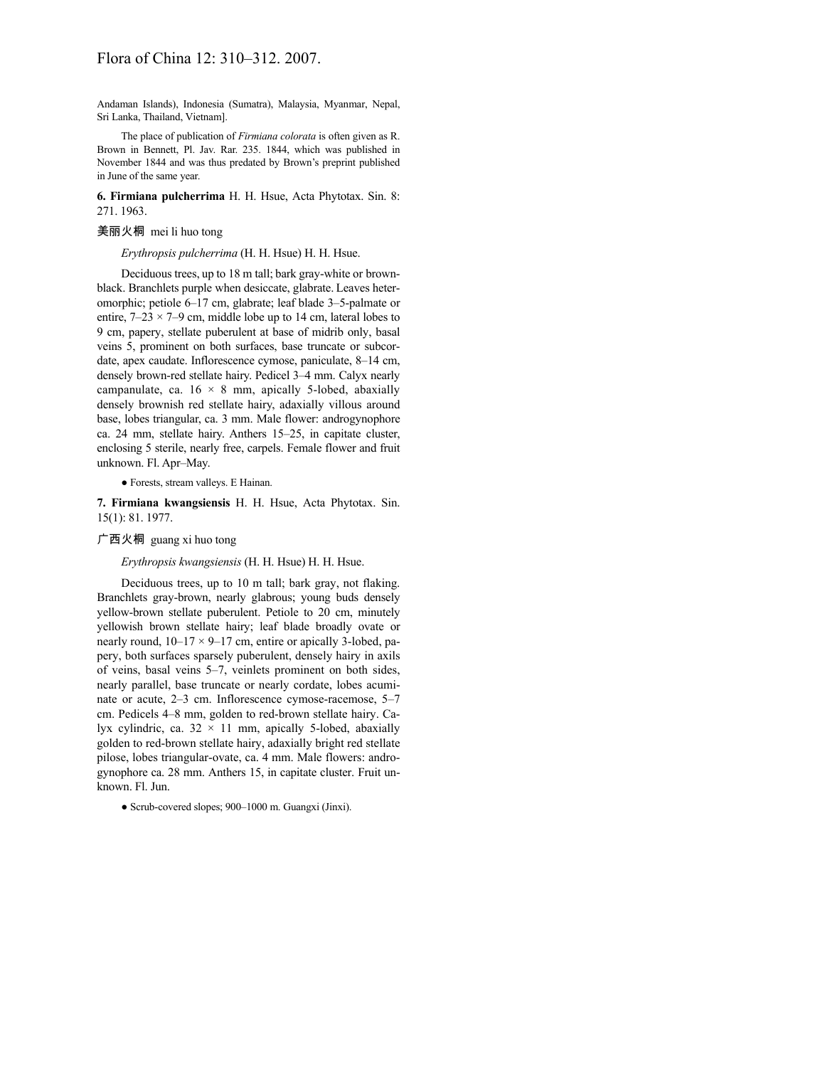Andaman Islands), Indonesia (Sumatra), Malaysia, Myanmar, Nepal, Sri Lanka, Thailand, Vietnam].

The place of publication of *Firmiana colorata* is often given as R. Brown in Bennett, Pl. Jav. Rar. 235. 1844, which was published in November 1844 and was thus predated by Brown's preprint published in June of the same year.

**6. Firmiana pulcherrima** H. H. Hsue, Acta Phytotax. Sin. 8: 271. 1963.

## 美丽火桐 mei li huo tong

*Erythropsis pulcherrima* (H. H. Hsue) H. H. Hsue.

Deciduous trees, up to 18 m tall; bark gray-white or brownblack. Branchlets purple when desiccate, glabrate. Leaves heteromorphic; petiole 6–17 cm, glabrate; leaf blade 3–5-palmate or entire,  $7-23 \times 7-9$  cm, middle lobe up to 14 cm, lateral lobes to 9 cm, papery, stellate puberulent at base of midrib only, basal veins 5, prominent on both surfaces, base truncate or subcordate, apex caudate. Inflorescence cymose, paniculate, 8–14 cm, densely brown-red stellate hairy. Pedicel 3–4 mm. Calyx nearly campanulate, ca.  $16 \times 8$  mm, apically 5-lobed, abaxially densely brownish red stellate hairy, adaxially villous around base, lobes triangular, ca. 3 mm. Male flower: androgynophore ca. 24 mm, stellate hairy. Anthers 15–25, in capitate cluster, enclosing 5 sterile, nearly free, carpels. Female flower and fruit unknown. Fl. Apr–May.

● Forests, stream valleys. E Hainan.

**7. Firmiana kwangsiensis** H. H. Hsue, Acta Phytotax. Sin. 15(1): 81. 1977.

#### 广西火桐 guang xi huo tong

*Erythropsis kwangsiensis* (H. H. Hsue) H. H. Hsue.

Deciduous trees, up to 10 m tall; bark gray, not flaking. Branchlets gray-brown, nearly glabrous; young buds densely yellow-brown stellate puberulent. Petiole to 20 cm, minutely yellowish brown stellate hairy; leaf blade broadly ovate or nearly round,  $10-17 \times 9-17$  cm, entire or apically 3-lobed, papery, both surfaces sparsely puberulent, densely hairy in axils of veins, basal veins 5–7, veinlets prominent on both sides, nearly parallel, base truncate or nearly cordate, lobes acuminate or acute, 2–3 cm. Inflorescence cymose-racemose, 5–7 cm. Pedicels 4–8 mm, golden to red-brown stellate hairy. Calyx cylindric, ca.  $32 \times 11$  mm, apically 5-lobed, abaxially golden to red-brown stellate hairy, adaxially bright red stellate pilose, lobes triangular-ovate, ca. 4 mm. Male flowers: androgynophore ca. 28 mm. Anthers 15, in capitate cluster. Fruit unknown. Fl. Jun.

<sup>●</sup> Scrub-covered slopes; 900–1000 m. Guangxi (Jinxi).